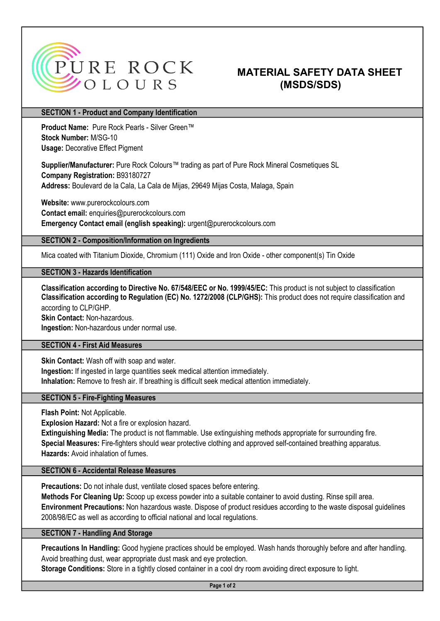

# **MATERIAL SAFETY DATA SHEET** (MSDS/SDS)

### SECTION 1 - Product and Company Identification

Stock Number: M/SG-10 Usage: Decorative Effect Pigment Product Name: Pure Rock Pearls - Silver Green™

Supplier/Manufacturer: Pure Rock Colours™ trading as part of Pure Rock Mineral Cosmetiques SL Company Registration: B93180727

Address: Boulevard de la Cala, La Cala de Mijas, 29649 Mijas Costa, Malaga, Spain

Website: www.purerockcolours.com Contact email: enquiries@purerockcolours.com Emergency Contact email (english speaking): urgent@purerockcolours.com

#### SECTION 2 - Composition/Information on Ingredients

Mica coated with Titanium Dioxide, Chromium (111) Oxide and Iron Oxide - other component(s) Tin Oxide

## SECTION 3 - Hazards Identification

Skin Contact: Non-hazardous. Classification according to Directive No. 67/548/EEC or No. 1999/45/EC: This product is not subject to classification according to CLP/GHP. Classification according to Regulation (EC) No. 1272/2008 (CLP/GHS): This product does not require classification and

Ingestion: Non-hazardous under normal use.

## SECTION 4 - First Aid Measures

Skin Contact: Wash off with soap and water.

Ingestion: If ingested in large quantities seek medical attention immediately.

Inhalation: Remove to fresh air. If breathing is difficult seek medical attention immediately.

## SECTION 5 - Fire-Fighting Measures

Flash Point: Not Applicable.

Explosion Hazard: Not a fire or explosion hazard.

Hazards: Avoid inhalation of fumes. Special Measures: Fire-fighters should wear protective clothing and approved self-contained breathing apparatus. Extinguishing Media: The product is not flammable. Use extinguishing methods appropriate for surrounding fire.

#### SECTION 6 - Accidental Release Measures

Precautions: Do not inhale dust, ventilate closed spaces before entering.

Methods For Cleaning Up: Scoop up excess powder into a suitable container to avoid dusting. Rinse spill area. 2008/98/EC as well as according to official national and local regulations. Environment Precautions: Non hazardous waste. Dispose of product residues according to the waste disposal guidelines

## SECTION 7 - Handling And Storage

Precautions In Handling: Good hygiene practices should be employed. Wash hands thoroughly before and after handling. Avoid breathing dust, wear appropriate dust mask and eye protection.

Storage Conditions: Store in a tightly closed container in a cool dry room avoiding direct exposure to light.

Page 1 of 2